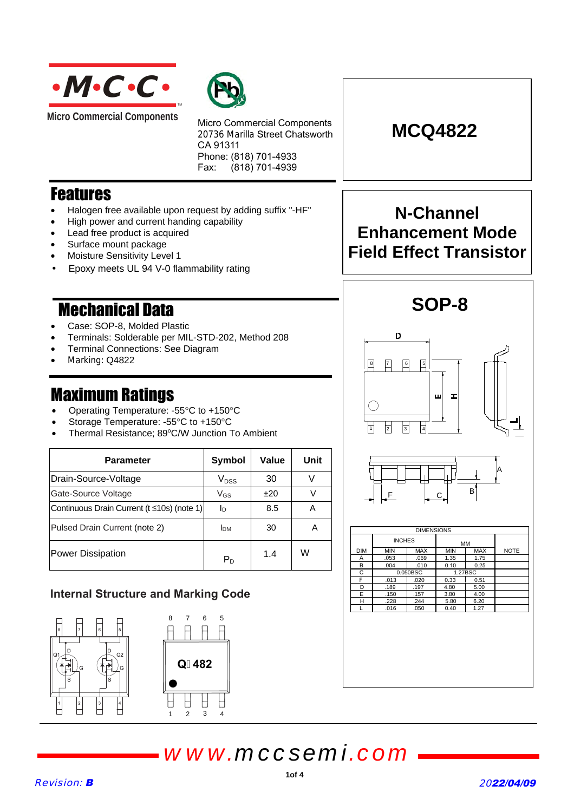

**Micro Commercial Components** 



Micro Commercial Components 20736 Marilla Street Chatsworth CA 91311 Phone: (818) 701-4933 Fax: (818) 701-4939

## **Features**

- Halogen free available upon request by adding suffix "-HF"
- High power and current handing capability
- Lead free product is acquired
- Surface mount package
- Moisture Sensitivity Level 1
- Epoxy meets UL 94 V-0 flammability rating

## **Mechanical Data**

- Case: SOP-8, Molded Plastic
- Terminals: Solderable per MIL-STD-202, Method 208
- Terminal Connections: See Diagram
- Marking: Q4822

- Operating Temperature: -55 $^{\circ}$ C to +150 $^{\circ}$ C
- Storage Temperature: -55°C to +150°C
- Thermal Resistance; 89°C/W Junction To Ambient

| Parameter                                  | Symbol                 | Value | Unit |  |
|--------------------------------------------|------------------------|-------|------|--|
| Drain-Source-Voltage                       | $V_{DSS}$              | 30    |      |  |
| Gate-Source Voltage                        | $V$ <sub>GS</sub>      | ±20   |      |  |
| Continuous Drain Current (t ≤10s) (note 1) | Iв                     | 8.5   | А    |  |
| Pulsed Drain Current (note 2)              | <b>I</b> <sub>DM</sub> | 30    | Α    |  |
| Power Dissipation                          | P <sub>D</sub>         | 1.4   | W    |  |

### **Internal Structure and Marking Code**





**N-Channel**

**MCQ4822**

## **Enhancement Mode Field Effect Transistor**







# *www.mccsemi.com*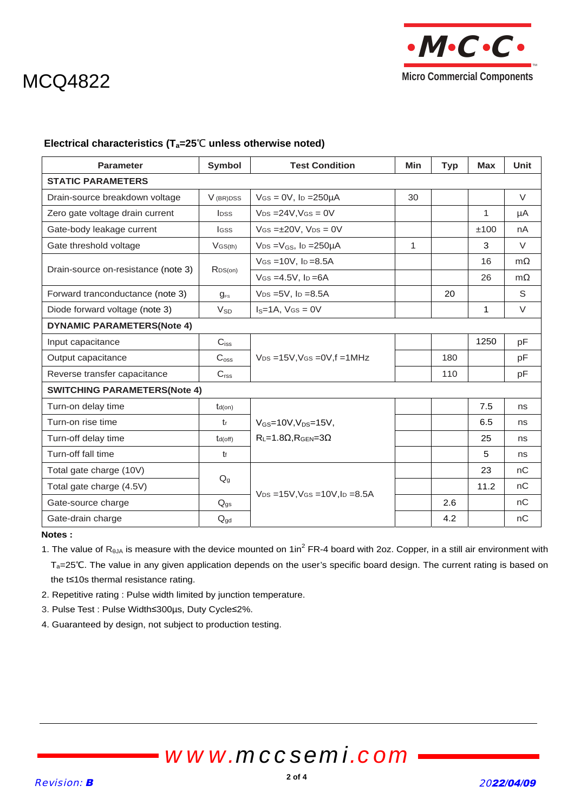

# MCQ4822

#### **Electrical characteristics (T<sub>a</sub>=25<sup>°</sup>C unless otherwise noted)**

| <b>Parameter</b>                    | Symbol                   | <b>Test Condition</b>                            | <b>Min</b> | <b>Typ</b> | <b>Max</b>   | <b>Unit</b> |
|-------------------------------------|--------------------------|--------------------------------------------------|------------|------------|--------------|-------------|
| <b>STATIC PARAMETERS</b>            |                          |                                                  |            |            |              |             |
| Drain-source breakdown voltage      | V (BR)DSS                | $V$ Gs = 0V, lp = $250\mu$ A                     | 30         |            |              | $\vee$      |
| Zero gate voltage drain current     | <b>l</b> <sub>pss</sub>  | $V_{DS} = 24V$ , $V_{GS} = 0V$                   |            |            | 1            | μA          |
| Gate-body leakage current           | lgss                     | $V$ GS = $\pm$ 20V, V <sub>DS</sub> = 0V         |            |            | ±100         | nA          |
| Gate threshold voltage              | $V$ GS(th)               | $V_{DS} = V_{GS}$ , lp = 250 µ A                 | 1          |            | 3            | $\vee$      |
| Drain-source on-resistance (note 3) | R <sub>DS(on)</sub>      | $V$ GS = 10V, lp = 8.5A                          |            |            | 16           | $m\Omega$   |
|                                     |                          | $V$ GS = 4.5V, $I_D$ = 6A                        |            |            | 26           | $m\Omega$   |
| Forward tranconductance (note 3)    | $g_{\text{FS}}$          | $V_{DS} = 5V$ , $I_D = 8.5A$                     |            | 20         |              | S           |
| Diode forward voltage (note 3)      | $V_{SD}$                 | $IS=1A$ , $VGS=0V$                               |            |            | $\mathbf{1}$ | $\vee$      |
| <b>DYNAMIC PARAMETERS(Note 4)</b>   |                          |                                                  |            |            |              |             |
| Input capacitance                   | $C_{iss}$                | $V_{DS}$ =15V, VGs = 0V, f = 1MHz                |            |            | 1250         | pF          |
| Output capacitance                  | C <sub>oss</sub>         |                                                  |            | 180        |              | рF          |
| Reverse transfer capacitance        | C <sub>rss</sub>         |                                                  |            | 110        |              | pF          |
| <b>SWITCHING PARAMETERS(Note 4)</b> |                          |                                                  |            |            |              |             |
| Turn-on delay time                  | $td($ on)                |                                                  |            |            | 7.5          | ns          |
| Turn-on rise time                   | tr                       | $V_{GS} = 10V, V_{DS} = 15V,$                    |            |            | 6.5          | ns          |
| Turn-off delay time                 | $td($ off $)$            | $R_1 = 1.8 \Omega$ , $R_{\text{GEN}} = 3 \Omega$ |            |            | 25           | ns          |
| Turn-off fall time                  | $t_{f}$                  |                                                  |            |            | 5            | ns          |
| Total gate charge (10V)             |                          |                                                  |            |            | 23           | nC          |
| Total gate charge (4.5V)            | $Q_g$                    | $V_{DS} = 15V$ , $V_{GS} = 10V$ , $I_D = 8.5A$   |            |            | 11.2         | nC          |
| Gate-source charge                  | $Q_{gs}$                 |                                                  |            | 2.6        |              | nC          |
| Gate-drain charge                   | $\mathsf{Q}_{\text{gd}}$ |                                                  |            | 4.2        |              | nC          |

#### **Notes :**

1. The value of  $R_{\theta JA}$  is measure with the device mounted on 1in<sup>2</sup> FR-4 board with 2oz. Copper, in a still air environment with Ta=25℃. The value in any given application depends on the user's specific board design. The current rating is based on the t≤10s thermal resistance rating.

- 2. Repetitive rating : Pulse width limited by junction temperature.
- 3. Pulse Test : Pulse Width≤300µs, Duty Cycle≤2%.
- 4. Guaranteed by design, not subject to production testing.

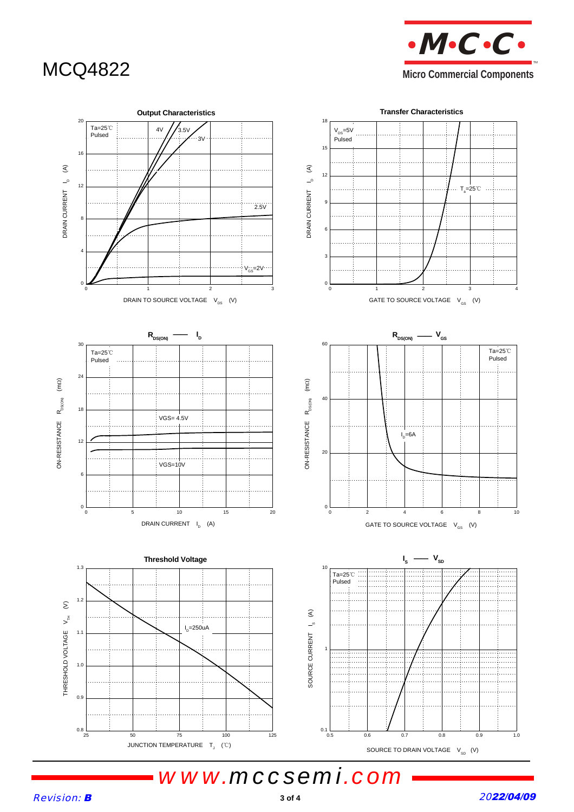MCQ4822 **Micro Commercial Components**   $\cdot M \cdot C \cdot C \cdot$ TM



*www.mccsemi.com*

Revision: B

2022/04/09